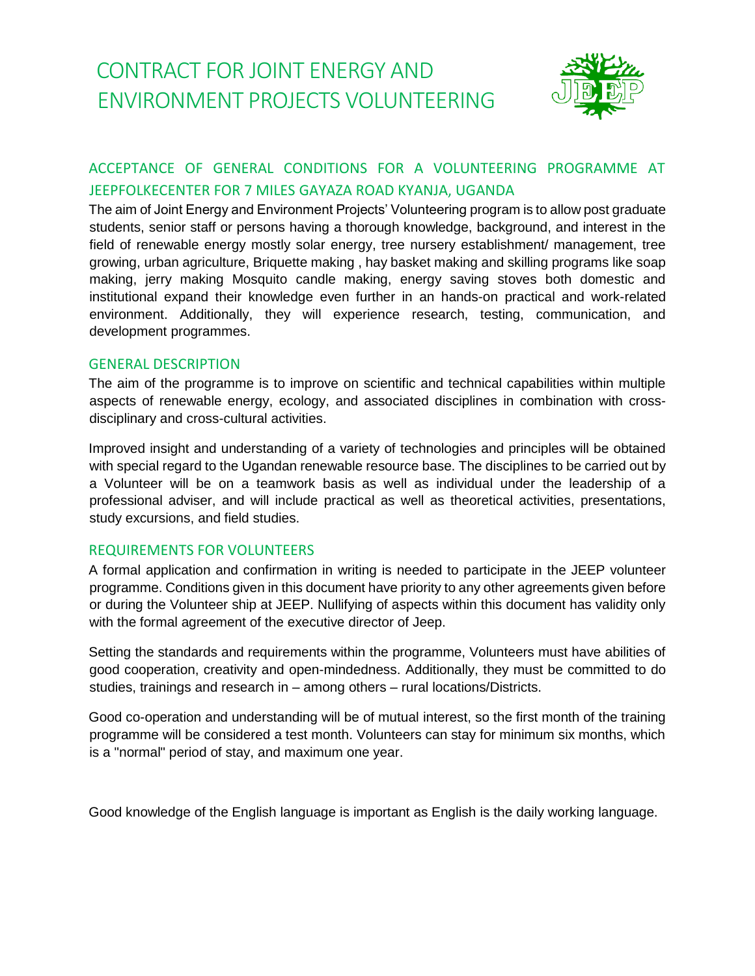# CONTRACT FOR JOINT ENERGY AND ENVIRONMENT PROJECTS VOLUNTEERING



# ACCEPTANCE OF GENERAL CONDITIONS FOR A VOLUNTEERING PROGRAMME AT JEEPFOLKECENTER FOR 7 MILES GAYAZA ROAD KYANJA, UGANDA

The aim of Joint Energy and Environment Projects' Volunteering program is to allow post graduate students, senior staff or persons having a thorough knowledge, background, and interest in the field of renewable energy mostly solar energy, tree nursery establishment/ management, tree growing, urban agriculture, Briquette making , hay basket making and skilling programs like soap making, jerry making Mosquito candle making, energy saving stoves both domestic and institutional expand their knowledge even further in an hands-on practical and work-related environment. Additionally, they will experience research, testing, communication, and development programmes.

# GENERAL DESCRIPTION

The aim of the programme is to improve on scientific and technical capabilities within multiple aspects of renewable energy, ecology, and associated disciplines in combination with crossdisciplinary and cross-cultural activities.

Improved insight and understanding of a variety of technologies and principles will be obtained with special regard to the Ugandan renewable resource base. The disciplines to be carried out by a Volunteer will be on a teamwork basis as well as individual under the leadership of a professional adviser, and will include practical as well as theoretical activities, presentations, study excursions, and field studies.

# REQUIREMENTS FOR VOLUNTEERS

A formal application and confirmation in writing is needed to participate in the JEEP volunteer programme. Conditions given in this document have priority to any other agreements given before or during the Volunteer ship at JEEP. Nullifying of aspects within this document has validity only with the formal agreement of the executive director of Jeep.

Setting the standards and requirements within the programme, Volunteers must have abilities of good cooperation, creativity and open-mindedness. Additionally, they must be committed to do studies, trainings and research in – among others – rural locations/Districts.

Good co-operation and understanding will be of mutual interest, so the first month of the training programme will be considered a test month. Volunteers can stay for minimum six months, which is a "normal" period of stay, and maximum one year.

Good knowledge of the English language is important as English is the daily working language.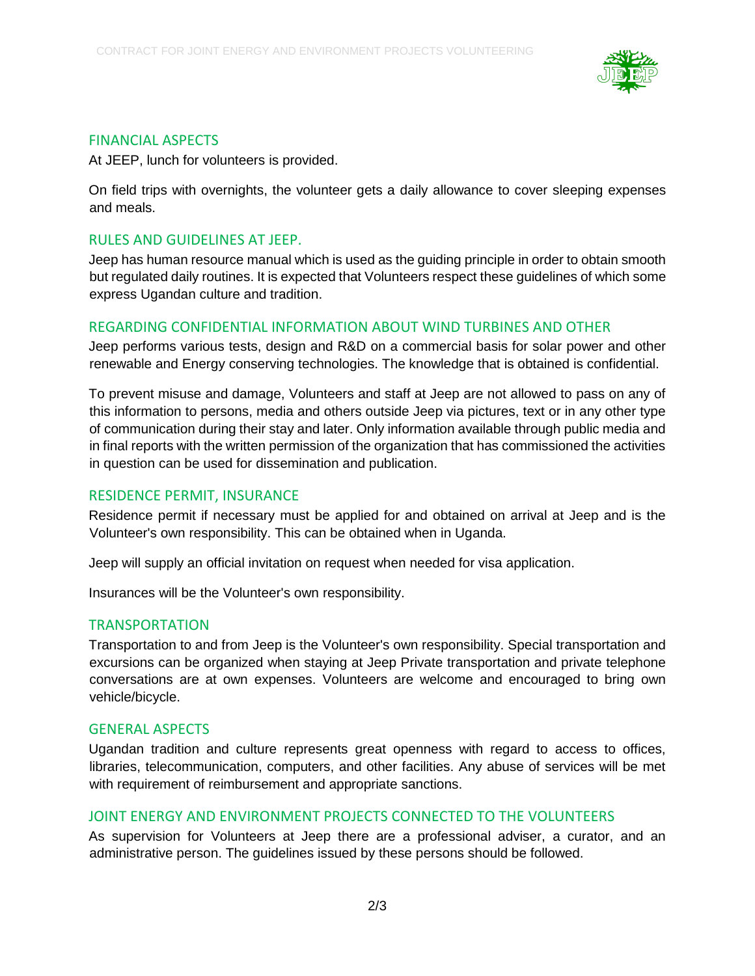

#### FINANCIAL ASPECTS

At JEEP, lunch for volunteers is provided.

On field trips with overnights, the volunteer gets a daily allowance to cover sleeping expenses and meals.

#### RULES AND GUIDELINES AT JEEP.

Jeep has human resource manual which is used as the guiding principle in order to obtain smooth but regulated daily routines. It is expected that Volunteers respect these guidelines of which some express Ugandan culture and tradition.

#### REGARDING CONFIDENTIAL INFORMATION ABOUT WIND TURBINES AND OTHER

Jeep performs various tests, design and R&D on a commercial basis for solar power and other renewable and Energy conserving technologies. The knowledge that is obtained is confidential.

To prevent misuse and damage, Volunteers and staff at Jeep are not allowed to pass on any of this information to persons, media and others outside Jeep via pictures, text or in any other type of communication during their stay and later. Only information available through public media and in final reports with the written permission of the organization that has commissioned the activities in question can be used for dissemination and publication.

# RESIDENCE PERMIT, INSURANCE

Residence permit if necessary must be applied for and obtained on arrival at Jeep and is the Volunteer's own responsibility. This can be obtained when in Uganda.

Jeep will supply an official invitation on request when needed for visa application.

Insurances will be the Volunteer's own responsibility.

#### TRANSPORTATION

Transportation to and from Jeep is the Volunteer's own responsibility. Special transportation and excursions can be organized when staying at Jeep Private transportation and private telephone conversations are at own expenses. Volunteers are welcome and encouraged to bring own vehicle/bicycle.

#### GENERAL ASPECTS

Ugandan tradition and culture represents great openness with regard to access to offices, libraries, telecommunication, computers, and other facilities. Any abuse of services will be met with requirement of reimbursement and appropriate sanctions.

# JOINT ENERGY AND ENVIRONMENT PROJECTS CONNECTED TO THE VOLUNTEERS

As supervision for Volunteers at Jeep there are a professional adviser, a curator, and an administrative person. The guidelines issued by these persons should be followed.